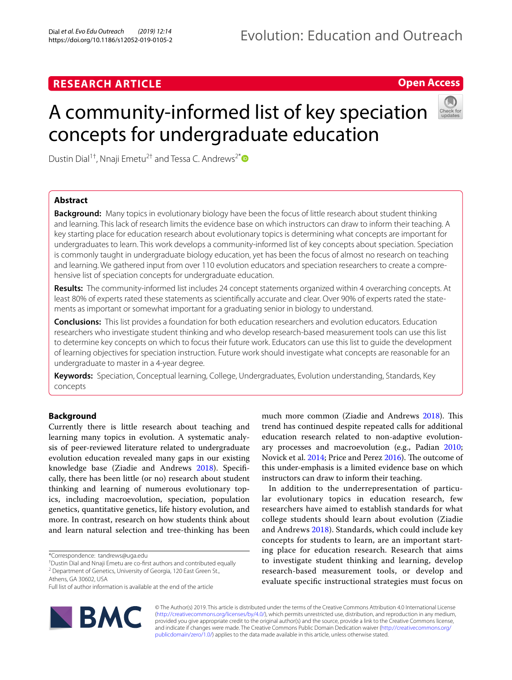# **RESEARCH ARTICLE**

## **Open Access**

# A community-informed list of key speciation concepts for undergraduate education



Dustin Dial<sup>1†</sup>, Nnaji Emetu<sup>2†</sup> and Tessa C. Andrews<sup>2[\\*](http://orcid.org/0000-0002-7008-6853)</sup>

## **Abstract**

**Background:** Many topics in evolutionary biology have been the focus of little research about student thinking and learning. This lack of research limits the evidence base on which instructors can draw to inform their teaching. A key starting place for education research about evolutionary topics is determining what concepts are important for undergraduates to learn. This work develops a community-informed list of key concepts about speciation. Speciation is commonly taught in undergraduate biology education, yet has been the focus of almost no research on teaching and learning. We gathered input from over 110 evolution educators and speciation researchers to create a comprehensive list of speciation concepts for undergraduate education.

**Results:** The community-informed list includes 24 concept statements organized within 4 overarching concepts. At least 80% of experts rated these statements as scientifcally accurate and clear. Over 90% of experts rated the statements as important or somewhat important for a graduating senior in biology to understand.

**Conclusions:** This list provides a foundation for both education researchers and evolution educators. Education researchers who investigate student thinking and who develop research-based measurement tools can use this list to determine key concepts on which to focus their future work. Educators can use this list to guide the development of learning objectives for speciation instruction. Future work should investigate what concepts are reasonable for an undergraduate to master in a 4-year degree.

**Keywords:** Speciation, Conceptual learning, College, Undergraduates, Evolution understanding, Standards, Key concepts

## **Background**

Currently there is little research about teaching and learning many topics in evolution. A systematic analysis of peer-reviewed literature related to undergraduate evolution education revealed many gaps in our existing knowledge base (Ziadie and Andrews [2018](#page-7-0)). Specifcally, there has been little (or no) research about student thinking and learning of numerous evolutionary topics, including macroevolution, speciation, population genetics, quantitative genetics, life history evolution, and more. In contrast, research on how students think about and learn natural selection and tree-thinking has been

Full list of author information is available at the end of the article



much more common (Ziadie and Andrews [2018\)](#page-7-0). This trend has continued despite repeated calls for additional education research related to non-adaptive evolutionary processes and macroevolution (e.g., Padian [2010](#page-7-1); Novick et al. [2014;](#page-7-2) Price and Perez [2016\)](#page-7-3). The outcome of this under-emphasis is a limited evidence base on which instructors can draw to inform their teaching.

In addition to the underrepresentation of particular evolutionary topics in education research, few researchers have aimed to establish standards for what college students should learn about evolution (Ziadie and Andrews [2018\)](#page-7-0). Standards, which could include key concepts for students to learn, are an important starting place for education research. Research that aims to investigate student thinking and learning, develop research-based measurement tools, or develop and evaluate specifc instructional strategies must focus on

© The Author(s) 2019. This article is distributed under the terms of the Creative Commons Attribution 4.0 International License [\(http://creativecommons.org/licenses/by/4.0/\)](http://creativecommons.org/licenses/by/4.0/), which permits unrestricted use, distribution, and reproduction in any medium, provided you give appropriate credit to the original author(s) and the source, provide a link to the Creative Commons license, and indicate if changes were made. The Creative Commons Public Domain Dedication waiver ([http://creativecommons.org/](http://creativecommons.org/publicdomain/zero/1.0/) [publicdomain/zero/1.0/](http://creativecommons.org/publicdomain/zero/1.0/)) applies to the data made available in this article, unless otherwise stated.

<sup>\*</sup>Correspondence: tandrews@uga.edu

<sup>†</sup> Dustin Dial and Nnaji Emetu are co-frst authors and contributed equally <sup>2</sup> Department of Genetics, University of Georgia, 120 East Green St.,

Athens, GA 30602, USA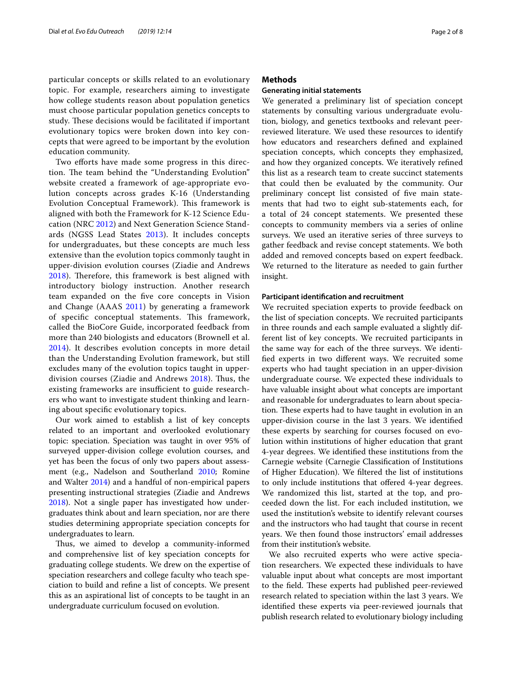particular concepts or skills related to an evolutionary topic. For example, researchers aiming to investigate how college students reason about population genetics must choose particular population genetics concepts to study. These decisions would be facilitated if important evolutionary topics were broken down into key concepts that were agreed to be important by the evolution education community.

Two efforts have made some progress in this direction. The team behind the "Understanding Evolution" website created a framework of age-appropriate evolution concepts across grades K-16 (Understanding Evolution Conceptual Framework). This framework is aligned with both the Framework for K-12 Science Education (NRC [2012\)](#page-7-4) and Next Generation Science Standards (NGSS Lead States [2013](#page-7-5)). It includes concepts for undergraduates, but these concepts are much less extensive than the evolution topics commonly taught in upper-division evolution courses (Ziadie and Andrews [2018\)](#page-7-0). Therefore, this framework is best aligned with introductory biology instruction. Another research team expanded on the fve core concepts in Vision and Change (AAAS [2011\)](#page-6-0) by generating a framework of specific conceptual statements. This framework, called the BioCore Guide, incorporated feedback from more than 240 biologists and educators (Brownell et al. [2014\)](#page-6-1). It describes evolution concepts in more detail than the Understanding Evolution framework, but still excludes many of the evolution topics taught in upper-division courses (Ziadie and Andrews [2018\)](#page-7-0). Thus, the existing frameworks are insufficient to guide researchers who want to investigate student thinking and learning about specifc evolutionary topics.

Our work aimed to establish a list of key concepts related to an important and overlooked evolutionary topic: speciation. Speciation was taught in over 95% of surveyed upper-division college evolution courses, and yet has been the focus of only two papers about assessment (e.g., Nadelson and Southerland [2010](#page-7-6); Romine and Walter [2014](#page-7-7)) and a handful of non-empirical papers presenting instructional strategies (Ziadie and Andrews [2018](#page-7-0)). Not a single paper has investigated how undergraduates think about and learn speciation, nor are there studies determining appropriate speciation concepts for undergraduates to learn.

Thus, we aimed to develop a community-informed and comprehensive list of key speciation concepts for graduating college students. We drew on the expertise of speciation researchers and college faculty who teach speciation to build and refne a list of concepts. We present this as an aspirational list of concepts to be taught in an undergraduate curriculum focused on evolution.

## **Methods**

#### **Generating initial statements**

We generated a preliminary list of speciation concept statements by consulting various undergraduate evolution, biology, and genetics textbooks and relevant peerreviewed literature. We used these resources to identify how educators and researchers defned and explained speciation concepts, which concepts they emphasized, and how they organized concepts. We iteratively refned this list as a research team to create succinct statements that could then be evaluated by the community. Our preliminary concept list consisted of fve main statements that had two to eight sub-statements each, for a total of 24 concept statements. We presented these concepts to community members via a series of online surveys. We used an iterative series of three surveys to gather feedback and revise concept statements. We both added and removed concepts based on expert feedback. We returned to the literature as needed to gain further insight.

#### **Participant identifcation and recruitment**

We recruited speciation experts to provide feedback on the list of speciation concepts. We recruited participants in three rounds and each sample evaluated a slightly different list of key concepts. We recruited participants in the same way for each of the three surveys. We identifed experts in two diferent ways. We recruited some experts who had taught speciation in an upper-division undergraduate course. We expected these individuals to have valuable insight about what concepts are important and reasonable for undergraduates to learn about speciation. These experts had to have taught in evolution in an upper-division course in the last 3 years. We identifed these experts by searching for courses focused on evolution within institutions of higher education that grant 4-year degrees. We identifed these institutions from the Carnegie website (Carnegie Classifcation of Institutions of Higher Education). We fltered the list of institutions to only include institutions that offered 4-year degrees. We randomized this list, started at the top, and proceeded down the list. For each included institution, we used the institution's website to identify relevant courses and the instructors who had taught that course in recent years. We then found those instructors' email addresses from their institution's website.

We also recruited experts who were active speciation researchers. We expected these individuals to have valuable input about what concepts are most important to the field. These experts had published peer-reviewed research related to speciation within the last 3 years. We identifed these experts via peer-reviewed journals that publish research related to evolutionary biology including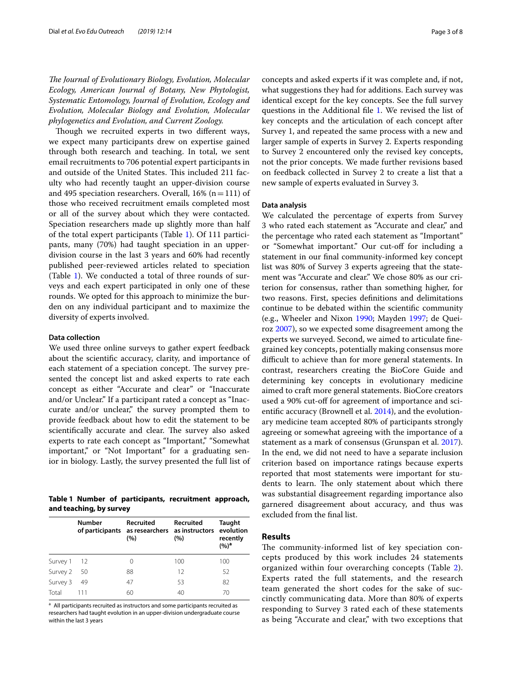*The Journal of Evolutionary Biology, Evolution, Molecular Ecology, American Journal of Botany, New Phytologist, Systematic Entomology, Journal of Evolution, Ecology and Evolution, Molecular Biology and Evolution, Molecular phylogenetics and Evolution, and Current Zoology.*

Though we recruited experts in two different ways, we expect many participants drew on expertise gained through both research and teaching. In total, we sent email recruitments to 706 potential expert participants in and outside of the United States. This included 211 faculty who had recently taught an upper-division course and 495 speciation researchers. Overall,  $16\%$  (n = 111) of those who received recruitment emails completed most or all of the survey about which they were contacted. Speciation researchers made up slightly more than half of the total expert participants (Table [1](#page-2-0)). Of 111 participants, many (70%) had taught speciation in an upperdivision course in the last 3 years and 60% had recently published peer-reviewed articles related to speciation (Table [1\)](#page-2-0). We conducted a total of three rounds of surveys and each expert participated in only one of these rounds. We opted for this approach to minimize the burden on any individual participant and to maximize the diversity of experts involved.

## **Data collection**

We used three online surveys to gather expert feedback about the scientifc accuracy, clarity, and importance of each statement of a speciation concept. The survey presented the concept list and asked experts to rate each concept as either "Accurate and clear" or "Inaccurate and/or Unclear." If a participant rated a concept as "Inaccurate and/or unclear," the survey prompted them to provide feedback about how to edit the statement to be scientifically accurate and clear. The survey also asked experts to rate each concept as "Important," "Somewhat important," or "Not Important" for a graduating senior in biology. Lastly, the survey presented the full list of

<span id="page-2-0"></span>**Table 1 Number of participants, recruitment approach, and teaching, by survey**

|          | Number | <b>Recruited</b><br>of participants as researchers as instructors evolution<br>(%) | Recruited<br>(%) | Taught<br>recently<br>(%) <sup>a</sup> |
|----------|--------|------------------------------------------------------------------------------------|------------------|----------------------------------------|
| Survey 1 | - 12   | 0                                                                                  | 100              | 100                                    |
| Survey 2 | 50     | 88                                                                                 | 12               | 52                                     |
| Survey 3 | 49     | 47                                                                                 | 53               | 82                                     |
| Total    |        | 60                                                                                 | 40               | 70                                     |

<sup>a</sup> All participants recruited as instructors and some participants recruited as researchers had taught evolution in an upper-division undergraduate course within the last 3 years

concepts and asked experts if it was complete and, if not, what suggestions they had for additions. Each survey was identical except for the key concepts. See the full survey questions in the Additional fle [1.](#page-6-2) We revised the list of key concepts and the articulation of each concept after Survey 1, and repeated the same process with a new and larger sample of experts in Survey 2. Experts responding to Survey 2 encountered only the revised key concepts, not the prior concepts. We made further revisions based on feedback collected in Survey 2 to create a list that a new sample of experts evaluated in Survey 3.

## **Data analysis**

We calculated the percentage of experts from Survey 3 who rated each statement as "Accurate and clear," and the percentage who rated each statement as "Important" or "Somewhat important." Our cut-of for including a statement in our fnal community-informed key concept list was 80% of Survey 3 experts agreeing that the statement was "Accurate and clear." We chose 80% as our criterion for consensus, rather than something higher, for two reasons. First, species defnitions and delimitations continue to be debated within the scientifc community (e.g., Wheeler and Nixon [1990;](#page-7-8) Mayden [1997;](#page-7-9) de Queiroz [2007](#page-7-10)), so we expected some disagreement among the experts we surveyed. Second, we aimed to articulate fnegrained key concepts, potentially making consensus more difficult to achieve than for more general statements. In contrast, researchers creating the BioCore Guide and determining key concepts in evolutionary medicine aimed to craft more general statements. BioCore creators used a 90% cut-off for agreement of importance and scientifc accuracy (Brownell et al. [2014](#page-6-1)), and the evolutionary medicine team accepted 80% of participants strongly agreeing or somewhat agreeing with the importance of a statement as a mark of consensus (Grunspan et al. [2017](#page-7-11)). In the end, we did not need to have a separate inclusion criterion based on importance ratings because experts reported that most statements were important for students to learn. The only statement about which there was substantial disagreement regarding importance also garnered disagreement about accuracy, and thus was excluded from the fnal list.

#### **Results**

The community-informed list of key speciation concepts produced by this work includes 24 statements organized within four overarching concepts (Table [2](#page-3-0)). Experts rated the full statements, and the research team generated the short codes for the sake of succinctly communicating data. More than 80% of experts responding to Survey 3 rated each of these statements as being "Accurate and clear," with two exceptions that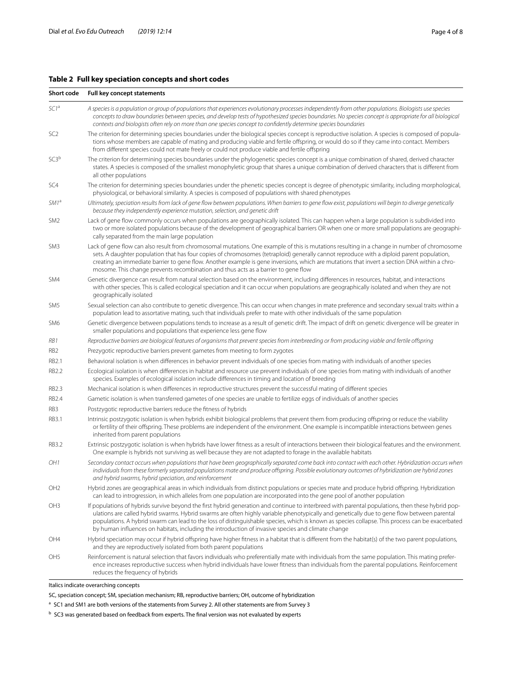## <span id="page-3-0"></span>**Table 2 Full key speciation concepts and short codes**

| Short code<br>Full key concept statements                                                                                                                                                                                                                                                                                                                                                                                                                                                                                                                  |  |  |  |
|------------------------------------------------------------------------------------------------------------------------------------------------------------------------------------------------------------------------------------------------------------------------------------------------------------------------------------------------------------------------------------------------------------------------------------------------------------------------------------------------------------------------------------------------------------|--|--|--|
| A species is a population or group of populations that experiences evolutionary processes independently from other populations. Biologists use species<br>concepts to draw boundaries between species, and develop tests of hypothesized species boundaries. No species concept is appropriate for all biological<br>contexts and biologists often rely on more than one species concept to confidently determine species boundaries                                                                                                                       |  |  |  |
| The criterion for determining species boundaries under the biological species concept is reproductive isolation. A species is composed of popula-<br>tions whose members are capable of mating and producing viable and fertile offspring, or would do so if they came into contact. Members<br>from different species could not mate freely or could not produce viable and fertile offspring                                                                                                                                                             |  |  |  |
| The criterion for determining species boundaries under the phylogenetic species concept is a unique combination of shared, derived character<br>states. A species is composed of the smallest monophyletic group that shares a unique combination of derived characters that is different from<br>all other populations                                                                                                                                                                                                                                    |  |  |  |
| The criterion for determining species boundaries under the phenetic species concept is degree of phenotypic similarity, including morphological,<br>physiological, or behavioral similarity. A species is composed of populations with shared phenotypes                                                                                                                                                                                                                                                                                                   |  |  |  |
| Ultimately, speciation results from lack of gene flow between populations. When barriers to gene flow exist, populations will begin to diverge genetically<br>because they independently experience mutation, selection, and genetic drift                                                                                                                                                                                                                                                                                                                 |  |  |  |
| Lack of gene flow commonly occurs when populations are geographically isolated. This can happen when a large population is subdivided into<br>two or more isolated populations because of the development of geographical barriers OR when one or more small populations are geographi-<br>cally separated from the main large population                                                                                                                                                                                                                  |  |  |  |
| Lack of gene flow can also result from chromosomal mutations. One example of this is mutations resulting in a change in number of chromosome<br>sets. A daughter population that has four copies of chromosomes (tetraploid) generally cannot reproduce with a diploid parent population,<br>creating an immediate barrier to gene flow. Another example is gene inversions, which are mutations that invert a section DNA within a chro-<br>mosome. This change prevents recombination and thus acts as a barrier to gene flow                            |  |  |  |
| Genetic divergence can result from natural selection based on the environment, including differences in resources, habitat, and interactions<br>with other species. This is called ecological speciation and it can occur when populations are geographically isolated and when they are not<br>geographically isolated                                                                                                                                                                                                                                    |  |  |  |
| Sexual selection can also contribute to genetic divergence. This can occur when changes in mate preference and secondary sexual traits within a<br>population lead to assortative mating, such that individuals prefer to mate with other individuals of the same population                                                                                                                                                                                                                                                                               |  |  |  |
| Genetic divergence between populations tends to increase as a result of genetic drift. The impact of drift on genetic divergence will be greater in<br>smaller populations and populations that experience less gene flow                                                                                                                                                                                                                                                                                                                                  |  |  |  |
| Reproductive barriers are biological features of organisms that prevent species from interbreeding or from producing viable and fertile offspring                                                                                                                                                                                                                                                                                                                                                                                                          |  |  |  |
| Prezygotic reproductive barriers prevent gametes from meeting to form zygotes                                                                                                                                                                                                                                                                                                                                                                                                                                                                              |  |  |  |
| Behavioral isolation is when differences in behavior prevent individuals of one species from mating with individuals of another species                                                                                                                                                                                                                                                                                                                                                                                                                    |  |  |  |
| Ecological isolation is when differences in habitat and resource use prevent individuals of one species from mating with individuals of another<br>species. Examples of ecological isolation include differences in timing and location of breeding                                                                                                                                                                                                                                                                                                        |  |  |  |
| Mechanical isolation is when differences in reproductive structures prevent the successful mating of different species                                                                                                                                                                                                                                                                                                                                                                                                                                     |  |  |  |
| Gametic isolation is when transferred gametes of one species are unable to fertilize eggs of individuals of another species                                                                                                                                                                                                                                                                                                                                                                                                                                |  |  |  |
| Postzygotic reproductive barriers reduce the fitness of hybrids                                                                                                                                                                                                                                                                                                                                                                                                                                                                                            |  |  |  |
| Intrinsic postzygotic isolation is when hybrids exhibit biological problems that prevent them from producing offspring or reduce the viability<br>or fertility of their offspring. These problems are independent of the environment. One example is incompatible interactions between genes<br>inherited from parent populations                                                                                                                                                                                                                          |  |  |  |
| Extrinsic postzygotic isolation is when hybrids have lower fitness as a result of interactions between their biological features and the environment.<br>One example is hybrids not surviving as well because they are not adapted to forage in the available habitats                                                                                                                                                                                                                                                                                     |  |  |  |
| Secondary contact occurs when populations that have been geographically separated come back into contact with each other. Hybridization occurs when<br>individuals from these formerly separated populations mate and produce offspring. Possible evolutionary outcomes of hybridization are hybrid zones<br>and hybrid swarms, hybrid speciation, and reinforcement                                                                                                                                                                                       |  |  |  |
| Hybrid zones are geographical areas in which individuals from distinct populations or species mate and produce hybrid offspring. Hybridization<br>can lead to introgression, in which alleles from one population are incorporated into the gene pool of another population                                                                                                                                                                                                                                                                                |  |  |  |
| If populations of hybrids survive beyond the first hybrid generation and continue to interbreed with parental populations, then these hybrid pop-<br>ulations are called hybrid swarms. Hybrid swarms are often highly variable phenotypically and genetically due to gene flow between parental<br>populations. A hybrid swarm can lead to the loss of distinguishable species, which is known as species collapse. This process can be exacerbated<br>by human influences on habitats, including the introduction of invasive species and climate change |  |  |  |
| Hybrid speciation may occur if hybrid offspring have higher fitness in a habitat that is different from the habitat(s) of the two parent populations,<br>and they are reproductively isolated from both parent populations                                                                                                                                                                                                                                                                                                                                 |  |  |  |
| Reinforcement is natural selection that favors individuals who preferentially mate with individuals from the same population. This mating prefer-<br>ence increases reproductive success when hybrid individuals have lower fitness than individuals from the parental populations. Reinforcement<br>reduces the frequency of hybrids                                                                                                                                                                                                                      |  |  |  |
|                                                                                                                                                                                                                                                                                                                                                                                                                                                                                                                                                            |  |  |  |

#### Italics indicate overarching concepts

## SC, speciation concept; SM, speciation mechanism; RB, reproductive barriers; OH, outcome of hybridization

<sup>a</sup> SC1 and SM1 are both versions of the statements from Survey 2. All other statements are from Survey 3

 $<sup>b</sup>$  SC3 was generated based on feedback from experts. The final version was not evaluated by experts</sup>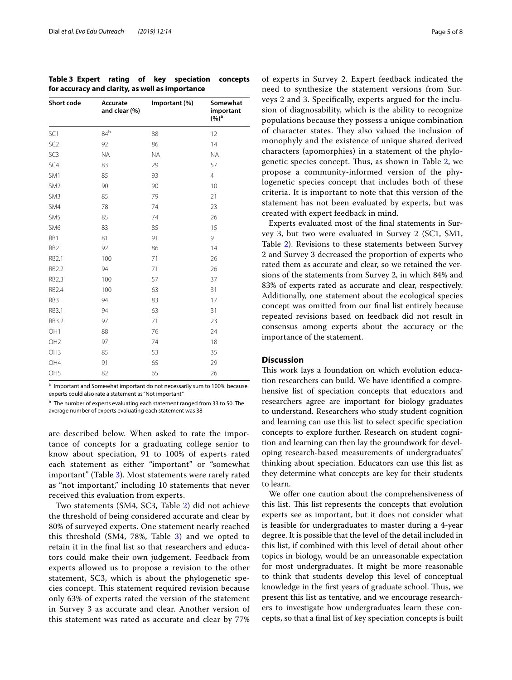<span id="page-4-0"></span>**Table 3 Expert rating of key speciation concepts for accuracy and clarity, as well as importance**

| Short code      | Accurate<br>and clear (%) | Important (%) | Somewhat<br>important<br>(%) <sup>a</sup> |
|-----------------|---------------------------|---------------|-------------------------------------------|
| SC <sub>1</sub> | 84 <sup>b</sup>           | 88            | 12                                        |
| SC <sub>2</sub> | 92                        | 86            | 14                                        |
| SC <sub>3</sub> | <b>NA</b>                 | <b>NA</b>     | <b>ΝΑ</b>                                 |
| SC4             | 83                        | 29            | 57                                        |
| SM1             | 85                        | 93            | $\overline{4}$                            |
| SM <sub>2</sub> | 90                        | 90            | 10                                        |
| SM <sub>3</sub> | 85                        | 79            | 21                                        |
| SM4             | 78                        | 74            | 23                                        |
| SM <sub>5</sub> | 85                        | 74            | 26                                        |
| SM <sub>6</sub> | 83                        | 85            | 15                                        |
| RB1             | 81                        | 91            | 9                                         |
| RB <sub>2</sub> | 92                        | 86            | 14                                        |
| <b>RB2.1</b>    | 100                       | 71            | 26                                        |
| <b>RB2.2</b>    | 94                        | 71            | 26                                        |
| <b>RB2.3</b>    | 100                       | 57            | 37                                        |
| <b>RB2.4</b>    | 100                       | 63            | 31                                        |
| RB3             | 94                        | 83            | 17                                        |
| RB3.1           | 94                        | 63            | 31                                        |
| <b>RB3.2</b>    | 97                        | 71            | 23                                        |
| OH <sub>1</sub> | 88                        | 76            | 24                                        |
| OH <sub>2</sub> | 97                        | 74            | 18                                        |
| OH <sub>3</sub> | 85                        | 53            | 35                                        |
| OH4             | 91                        | 65            | 29                                        |
| OH <sub>5</sub> | 82                        | 65            | 26                                        |

<sup>a</sup> Important and Somewhat important do not necessarily sum to 100% because experts could also rate a statement as "Not important

<sup>b</sup> The number of experts evaluating each statement ranged from 33 to 50. The average number of experts evaluating each statement was 38

are described below. When asked to rate the importance of concepts for a graduating college senior to know about speciation, 91 to 100% of experts rated each statement as either "important" or "somewhat important" (Table [3\)](#page-4-0). Most statements were rarely rated as "not important," including 10 statements that never received this evaluation from experts.

Two statements (SM4, SC3, Table [2](#page-3-0)) did not achieve the threshold of being considered accurate and clear by 80% of surveyed experts. One statement nearly reached this threshold  $(SM4, 78\%,$  Table [3\)](#page-4-0) and we opted to retain it in the fnal list so that researchers and educators could make their own judgement. Feedback from experts allowed us to propose a revision to the other statement, SC3, which is about the phylogenetic species concept. Tis statement required revision because only 63% of experts rated the version of the statement in Survey 3 as accurate and clear. Another version of this statement was rated as accurate and clear by 77%

of experts in Survey 2. Expert feedback indicated the need to synthesize the statement versions from Surveys 2 and 3. Specifcally, experts argued for the inclusion of diagnosability, which is the ability to recognize populations because they possess a unique combination of character states. They also valued the inclusion of monophyly and the existence of unique shared derived characters (apomorphies) in a statement of the phylo-genetic species concept. Thus, as shown in Table [2,](#page-3-0) we propose a community-informed version of the phylogenetic species concept that includes both of these criteria. It is important to note that this version of the statement has not been evaluated by experts, but was created with expert feedback in mind.

Experts evaluated most of the fnal statements in Survey 3, but two were evaluated in Survey 2 (SC1, SM1, Table [2\)](#page-3-0). Revisions to these statements between Survey 2 and Survey 3 decreased the proportion of experts who rated them as accurate and clear, so we retained the versions of the statements from Survey 2, in which 84% and 83% of experts rated as accurate and clear, respectively. Additionally, one statement about the ecological species concept was omitted from our fnal list entirely because repeated revisions based on feedback did not result in consensus among experts about the accuracy or the importance of the statement.

## **Discussion**

This work lays a foundation on which evolution education researchers can build. We have identifed a comprehensive list of speciation concepts that educators and researchers agree are important for biology graduates to understand. Researchers who study student cognition and learning can use this list to select specifc speciation concepts to explore further. Research on student cognition and learning can then lay the groundwork for developing research-based measurements of undergraduates' thinking about speciation. Educators can use this list as they determine what concepts are key for their students to learn.

We offer one caution about the comprehensiveness of this list. This list represents the concepts that evolution experts see as important, but it does not consider what is feasible for undergraduates to master during a 4-year degree. It is possible that the level of the detail included in this list, if combined with this level of detail about other topics in biology, would be an unreasonable expectation for most undergraduates. It might be more reasonable to think that students develop this level of conceptual knowledge in the first years of graduate school. Thus, we present this list as tentative, and we encourage researchers to investigate how undergraduates learn these concepts, so that a fnal list of key speciation concepts is built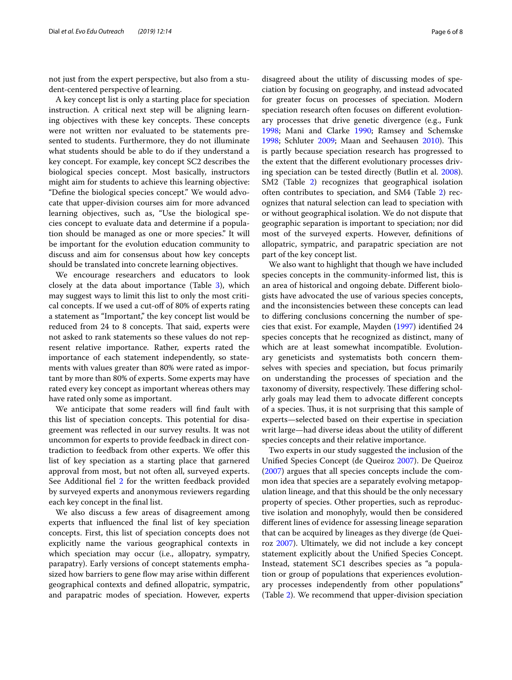not just from the expert perspective, but also from a student-centered perspective of learning.

A key concept list is only a starting place for speciation instruction. A critical next step will be aligning learning objectives with these key concepts. These concepts were not written nor evaluated to be statements presented to students. Furthermore, they do not illuminate what students should be able to do if they understand a key concept. For example, key concept SC2 describes the biological species concept. Most basically, instructors might aim for students to achieve this learning objective: "Defne the biological species concept." We would advocate that upper-division courses aim for more advanced learning objectives, such as, "Use the biological species concept to evaluate data and determine if a population should be managed as one or more species." It will be important for the evolution education community to discuss and aim for consensus about how key concepts should be translated into concrete learning objectives.

We encourage researchers and educators to look closely at the data about importance (Table [3\)](#page-4-0), which may suggest ways to limit this list to only the most critical concepts. If we used a cut-off of 80% of experts rating a statement as "Important," the key concept list would be reduced from 24 to 8 concepts. That said, experts were not asked to rank statements so these values do not represent relative importance. Rather, experts rated the importance of each statement independently, so statements with values greater than 80% were rated as important by more than 80% of experts. Some experts may have rated every key concept as important whereas others may have rated only some as important.

We anticipate that some readers will fnd fault with this list of speciation concepts. This potential for disagreement was refected in our survey results. It was not uncommon for experts to provide feedback in direct contradiction to feedback from other experts. We ofer this list of key speciation as a starting place that garnered approval from most, but not often all, surveyed experts. See Additional fel [2](#page-6-3) for the written feedback provided by surveyed experts and anonymous reviewers regarding each key concept in the fnal list.

We also discuss a few areas of disagreement among experts that infuenced the fnal list of key speciation concepts. First, this list of speciation concepts does not explicitly name the various geographical contexts in which speciation may occur (i.e., allopatry, sympatry, parapatry). Early versions of concept statements emphasized how barriers to gene flow may arise within different geographical contexts and defned allopatric, sympatric, and parapatric modes of speciation. However, experts disagreed about the utility of discussing modes of speciation by focusing on geography, and instead advocated for greater focus on processes of speciation. Modern speciation research often focuses on diferent evolutionary processes that drive genetic divergence (e.g., Funk [1998](#page-7-12); Mani and Clarke [1990](#page-7-13); Ramsey and Schemske [1998](#page-7-14); Schluter [2009;](#page-7-15) Maan and Seehausen [2010](#page-7-16)). This is partly because speciation research has progressed to the extent that the diferent evolutionary processes driving speciation can be tested directly (Butlin et al. [2008](#page-6-4)). SM2 (Table [2\)](#page-3-0) recognizes that geographical isolation often contributes to speciation, and SM4 (Table [2\)](#page-3-0) recognizes that natural selection can lead to speciation with or without geographical isolation. We do not dispute that geographic separation is important to speciation; nor did most of the surveyed experts. However, defnitions of allopatric, sympatric, and parapatric speciation are not part of the key concept list.

We also want to highlight that though we have included species concepts in the community-informed list, this is an area of historical and ongoing debate. Diferent biologists have advocated the use of various species concepts, and the inconsistencies between these concepts can lead to difering conclusions concerning the number of species that exist. For example, Mayden [\(1997\)](#page-7-9) identifed 24 species concepts that he recognized as distinct, many of which are at least somewhat incompatible. Evolutionary geneticists and systematists both concern themselves with species and speciation, but focus primarily on understanding the processes of speciation and the taxonomy of diversity, respectively. These differing scholarly goals may lead them to advocate diferent concepts of a species. Thus, it is not surprising that this sample of experts—selected based on their expertise in speciation writ large—had diverse ideas about the utility of diferent species concepts and their relative importance.

Two experts in our study suggested the inclusion of the Unifed Species Concept (de Queiroz [2007\)](#page-7-10). De Queiroz ([2007\)](#page-7-10) argues that all species concepts include the common idea that species are a separately evolving metapopulation lineage, and that this should be the only necessary property of species. Other properties, such as reproductive isolation and monophyly, would then be considered diferent lines of evidence for assessing lineage separation that can be acquired by lineages as they diverge (de Queiroz [2007](#page-7-10)). Ultimately, we did not include a key concept statement explicitly about the Unifed Species Concept. Instead, statement SC1 describes species as "a population or group of populations that experiences evolutionary processes independently from other populations" (Table [2](#page-3-0)). We recommend that upper-division speciation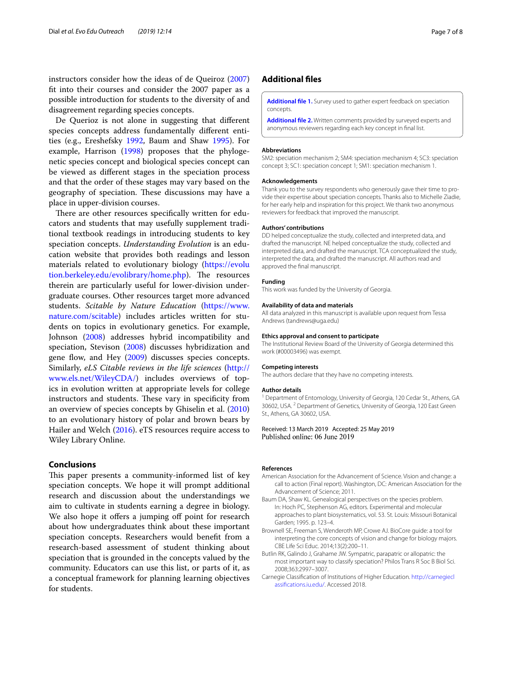instructors consider how the ideas of de Queiroz ([2007](#page-7-10)) ft into their courses and consider the 2007 paper as a possible introduction for students to the diversity of and disagreement regarding species concepts.

De Querioz is not alone in suggesting that diferent species concepts address fundamentally diferent entities (e.g., Ereshefsky [1992,](#page-7-17) Baum and Shaw [1995\)](#page-6-5). For example, Harrison ([1998\)](#page-7-18) proposes that the phylogenetic species concept and biological species concept can be viewed as diferent stages in the speciation process and that the order of these stages may vary based on the geography of speciation. These discussions may have a place in upper-division courses.

There are other resources specifically written for educators and students that may usefully supplement traditional textbook readings in introducing students to key speciation concepts. *Understanding Evolution* is an education website that provides both readings and lesson materials related to evolutionary biology ([https://evolu](https://evolution.berkeley.edu/evolibrary/home.php) [tion.berkeley.edu/evolibrary/home.php\)](https://evolution.berkeley.edu/evolibrary/home.php). The resources therein are particularly useful for lower-division undergraduate courses. Other resources target more advanced students. *Scitable by Nature Education* [\(https://www.](https://www.nature.com/scitable) [nature.com/scitable\)](https://www.nature.com/scitable) includes articles written for students on topics in evolutionary genetics. For example, Johnson ([2008](#page-7-19)) addresses hybrid incompatibility and speciation, Stevison [\(2008\)](#page-7-20) discusses hybridization and gene flow, and Hey [\(2009\)](#page-7-21) discusses species concepts. Similarly, *eLS Citable reviews in the life sciences* [\(http://](http://www.els.net/WileyCDA/) [www.els.net/WileyCDA/](http://www.els.net/WileyCDA/)) includes overviews of topics in evolution written at appropriate levels for college instructors and students. These vary in specificity from an overview of species concepts by Ghiselin et al. ([2010](#page-7-22)) to an evolutionary history of polar and brown bears by Hailer and Welch [\(2016](#page-7-23)). eTS resources require access to Wiley Library Online.

## **Conclusions**

This paper presents a community-informed list of key speciation concepts. We hope it will prompt additional research and discussion about the understandings we aim to cultivate in students earning a degree in biology. We also hope it offers a jumping off point for research about how undergraduates think about these important speciation concepts. Researchers would beneft from a research-based assessment of student thinking about speciation that is grounded in the concepts valued by the community. Educators can use this list, or parts of it, as a conceptual framework for planning learning objectives for students.

## **Additional fles**

<span id="page-6-3"></span><span id="page-6-2"></span>**[Additional fle 1.](https://doi.org/10.1186/s12052-019-0105-2)** Survey used to gather expert feedback on speciation concepts.

**[Additional fle 2.](https://doi.org/10.1186/s12052-019-0105-2)** Written comments provided by surveyed experts and anonymous reviewers regarding each key concept in fnal list.

#### **Abbreviations**

SM2: speciation mechanism 2; SM4: speciation mechanism 4; SC3: speciation concept 3; SC1: speciation concept 1; SM1: speciation mechanism 1.

#### **Acknowledgements**

Thank you to the survey respondents who generously gave their time to provide their expertise about speciation concepts. Thanks also to Michelle Ziadie, for her early help and inspiration for this project. We thank two anonymous reviewers for feedback that improved the manuscript.

#### **Authors' contributions**

DD helped conceptualize the study, collected and interpreted data, and drafted the manuscript. NE helped conceptualize the study, collected and interpreted data, and drafted the manuscript. TCA conceptualized the study, interpreted the data, and drafted the manuscript. All authors read and approved the fnal manuscript.

#### **Funding**

This work was funded by the University of Georgia.

#### **Availability of data and materials**

All data analyzed in this manuscript is available upon request from Tessa Andrews (tandrews@uga.edu)

### **Ethics approval and consent to participate**

The Institutional Review Board of the University of Georgia determined this work (#00003496) was exempt.

#### **Competing interests**

The authors declare that they have no competing interests.

#### **Author details**

<sup>1</sup> Department of Entomology, University of Georgia, 120 Cedar St., Athens, GA 30602, USA. <sup>2</sup> Department of Genetics, University of Georgia, 120 East Green St., Athens, GA 30602, USA.

Received: 13 March 2019 Accepted: 25 May 2019 Published online: 06 June 2019

#### **References**

- <span id="page-6-0"></span>American Association for the Advancement of Science. Vision and change: a call to action (Final report). Washington, DC: American Association for the Advancement of Science; 2011.
- <span id="page-6-5"></span>Baum DA, Shaw KL. Genealogical perspectives on the species problem. In: Hoch PC, Stephenson AG, editors. Experimental and molecular approaches to plant biosystematics, vol. 53. St. Louis: Missouri Botanical Garden; 1995. p. 123–4.
- <span id="page-6-1"></span>Brownell SE, Freeman S, Wenderoth MP, Crowe AJ. BioCore guide: a tool for interpreting the core concepts of vision and change for biology majors. CBE Life Sci Educ. 2014;13(2):200–11.
- <span id="page-6-4"></span>Butlin RK, Galindo J, Grahame JW. Sympatric, parapatric or allopatric: the most important way to classify speciation? Philos Trans R Soc B Biol Sci. 2008;363:2997–3007.
- Carnegie Classifcation of Institutions of Higher Education. [http://carnegiecl](http://carnegieclassifications.iu.edu/) [assifications.iu.edu/.](http://carnegieclassifications.iu.edu/) Accessed 2018.